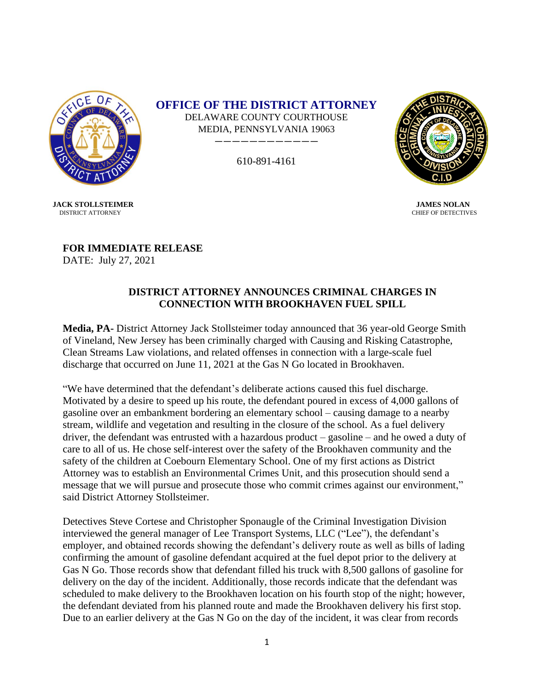

**OFFICE OF THE DISTRICT ATTORNEY** DELAWARE COUNTY COURTHOUSE MEDIA, PENNSYLVANIA 19063

610-891-4161

————————————



CHIEF OF DETECTIVES

 **JACK STOLLSTEIMER JAMES NOLAN**<br>DISTRICT ATTORNEY **CHIEF OF DETECTIV** 

**FOR IMMEDIATE RELEASE** DATE: July 27, 2021

## **DISTRICT ATTORNEY ANNOUNCES CRIMINAL CHARGES IN CONNECTION WITH BROOKHAVEN FUEL SPILL**

**Media, PA-** District Attorney Jack Stollsteimer today announced that 36 year-old George Smith of Vineland, New Jersey has been criminally charged with Causing and Risking Catastrophe, Clean Streams Law violations, and related offenses in connection with a large-scale fuel discharge that occurred on June 11, 2021 at the Gas N Go located in Brookhaven.

"We have determined that the defendant's deliberate actions caused this fuel discharge. Motivated by a desire to speed up his route, the defendant poured in excess of 4,000 gallons of gasoline over an embankment bordering an elementary school – causing damage to a nearby stream, wildlife and vegetation and resulting in the closure of the school. As a fuel delivery driver, the defendant was entrusted with a hazardous product – gasoline – and he owed a duty of care to all of us. He chose self-interest over the safety of the Brookhaven community and the safety of the children at Coebourn Elementary School. One of my first actions as District Attorney was to establish an Environmental Crimes Unit, and this prosecution should send a message that we will pursue and prosecute those who commit crimes against our environment," said District Attorney Stollsteimer.

Detectives Steve Cortese and Christopher Sponaugle of the Criminal Investigation Division interviewed the general manager of Lee Transport Systems, LLC ("Lee"), the defendant's employer, and obtained records showing the defendant's delivery route as well as bills of lading confirming the amount of gasoline defendant acquired at the fuel depot prior to the delivery at Gas N Go. Those records show that defendant filled his truck with 8,500 gallons of gasoline for delivery on the day of the incident. Additionally, those records indicate that the defendant was scheduled to make delivery to the Brookhaven location on his fourth stop of the night; however, the defendant deviated from his planned route and made the Brookhaven delivery his first stop. Due to an earlier delivery at the Gas N Go on the day of the incident, it was clear from records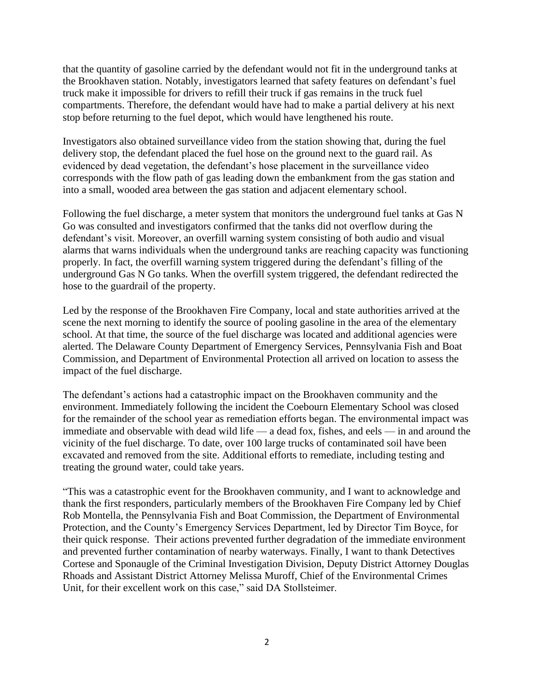that the quantity of gasoline carried by the defendant would not fit in the underground tanks at the Brookhaven station. Notably, investigators learned that safety features on defendant's fuel truck make it impossible for drivers to refill their truck if gas remains in the truck fuel compartments. Therefore, the defendant would have had to make a partial delivery at his next stop before returning to the fuel depot, which would have lengthened his route.

Investigators also obtained surveillance video from the station showing that, during the fuel delivery stop, the defendant placed the fuel hose on the ground next to the guard rail. As evidenced by dead vegetation, the defendant's hose placement in the surveillance video corresponds with the flow path of gas leading down the embankment from the gas station and into a small, wooded area between the gas station and adjacent elementary school.

Following the fuel discharge, a meter system that monitors the underground fuel tanks at Gas N Go was consulted and investigators confirmed that the tanks did not overflow during the defendant's visit. Moreover, an overfill warning system consisting of both audio and visual alarms that warns individuals when the underground tanks are reaching capacity was functioning properly. In fact, the overfill warning system triggered during the defendant's filling of the underground Gas N Go tanks. When the overfill system triggered, the defendant redirected the hose to the guardrail of the property.

Led by the response of the Brookhaven Fire Company, local and state authorities arrived at the scene the next morning to identify the source of pooling gasoline in the area of the elementary school. At that time, the source of the fuel discharge was located and additional agencies were alerted. The Delaware County Department of Emergency Services, Pennsylvania Fish and Boat Commission, and Department of Environmental Protection all arrived on location to assess the impact of the fuel discharge.

The defendant's actions had a catastrophic impact on the Brookhaven community and the environment. Immediately following the incident the Coebourn Elementary School was closed for the remainder of the school year as remediation efforts began. The environmental impact was immediate and observable with dead wild life — a dead fox, fishes, and eels — in and around the vicinity of the fuel discharge. To date, over 100 large trucks of contaminated soil have been excavated and removed from the site. Additional efforts to remediate, including testing and treating the ground water, could take years.

"This was a catastrophic event for the Brookhaven community, and I want to acknowledge and thank the first responders, particularly members of the Brookhaven Fire Company led by Chief Rob Montella, the Pennsylvania Fish and Boat Commission, the Department of Environmental Protection, and the County's Emergency Services Department, led by Director Tim Boyce, for their quick response. Their actions prevented further degradation of the immediate environment and prevented further contamination of nearby waterways. Finally, I want to thank Detectives Cortese and Sponaugle of the Criminal Investigation Division, Deputy District Attorney Douglas Rhoads and Assistant District Attorney Melissa Muroff, Chief of the Environmental Crimes Unit, for their excellent work on this case," said DA Stollsteimer.